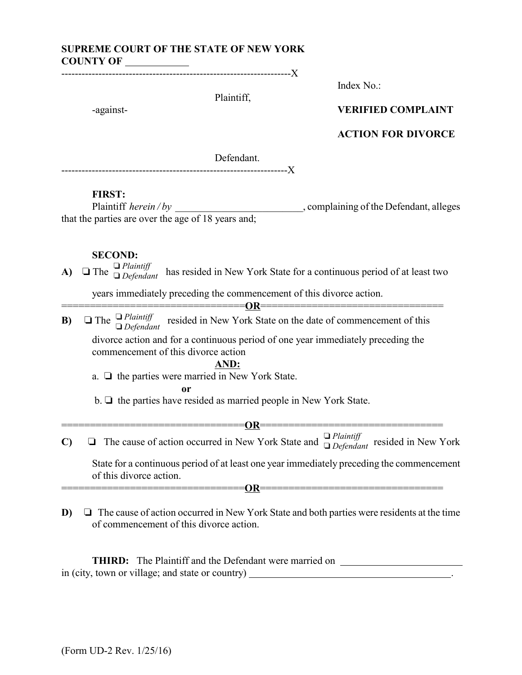# **SUPREME COURT OF THE STATE OF NEW YORK COUNTY OF**

--------------------------------------------------------------------X

Plaintiff,

Index No.:

# -against- **VERIFIED COMPLAINT**

## **ACTION FOR DIVORCE**

Defendant.

-------------------------------------------------------------------X

#### **FIRST:**

Plaintiff *herein / by* \_\_\_\_\_\_\_\_\_\_\_\_\_\_\_\_\_\_\_\_\_\_\_\_\_\_\_\_\_\_, complaining of the Defendant, alleges that the parties are over the age of 18 years and;

## **SECOND:**

**A)**  $\Box$  The  $\Box$  *Plaintiff* has resided in New York State for a continuous period of at least two  $\Box$  *Defendant* has resided in New York State for a continuous period of at least two

years immediately preceding the commencement of this divorce action.

================================**OR**================================ **B)**  $\Box$  The  $\Box$  *Plaintiff* resided in New York State on the date of commencement of this  $\Box$  *Defendant* divorce action and for a continuous period of one year immediately preceding the commencement of this divorce action

**AND:**

a.  $\Box$  the parties were married in New York State.

**or**

 $b. \Box$  the parties have resided as married people in New York State.

- ==================OR========== **C)**  $\Box$  The cause of action occurred in New York State and  $\Box$  *Plaintiff* resided in New York State for a continuous period of at least one year immediately preceding the commencement of this divorce action. ================================**OR**================================
- **D)**  $\Box$  The cause of action occurred in New York State and both parties were residents at the time of commencement of this divorce action.

**THIRD:** The Plaintiff and the Defendant were married on \_\_\_\_\_\_\_\_\_\_\_\_\_\_\_\_\_\_\_\_\_\_\_\_ in (city, town or village; and state or country) \_\_\_\_\_\_\_\_\_\_\_\_\_\_\_\_\_\_\_\_\_\_\_\_\_\_\_\_\_\_\_\_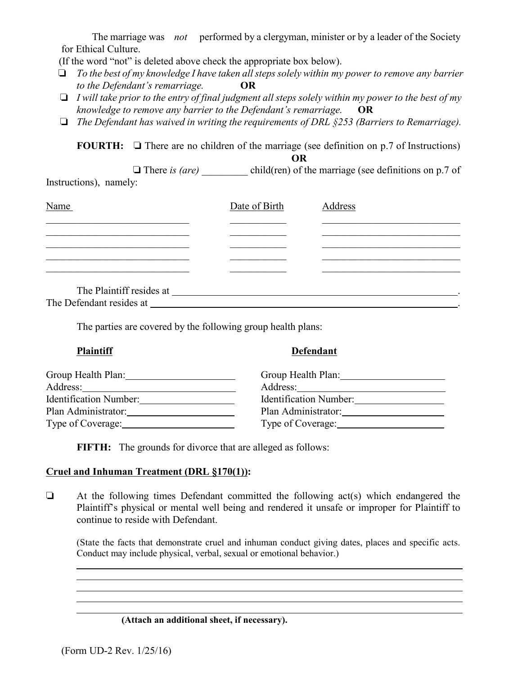The marriage was *not* performed by a clergyman, minister or by a leader of the Society for Ethical Culture.

(If the word "not" is deleted above check the appropriate box below).

- *To the best of my knowledge I have taken all steps solely within my power to remove any barrier to the Defendant's remarriage.* **OR**
- *I will take prior to the entry of final judgment all steps solely within my power to the best of my knowledge to remove any barrier to the Defendant's remarriage.* **OR**
- *The Defendant has waived in writing the requirements of DRL §253 (Barriers to Remarriage).*

**FOURTH:**  $\Box$  There are no children of the marriage (see definition on p.7 of Instructions) **OR**

There *is (are)* child(ren) of the marriage (see definitions on p.7 of Instructions), namely:

| Name                                                                                                                                                                                                                           | Date of Birth | Address |
|--------------------------------------------------------------------------------------------------------------------------------------------------------------------------------------------------------------------------------|---------------|---------|
|                                                                                                                                                                                                                                |               |         |
|                                                                                                                                                                                                                                |               |         |
|                                                                                                                                                                                                                                |               |         |
|                                                                                                                                                                                                                                |               |         |
| The Plaintiff resides at The Plaintiff resides at                                                                                                                                                                              |               |         |
| The Defendant resides at the state of the state of the state of the state of the state of the state of the state of the state of the state of the state of the state of the state of the state of the state of the state of th |               |         |

The parties are covered by the following group health plans:

| <b>Plaintiff</b>  | <b>Defendant</b>       |  |  |
|-------------------|------------------------|--|--|
|                   | Group Health Plan:     |  |  |
|                   |                        |  |  |
|                   | Identification Number: |  |  |
|                   | Plan Administrator:    |  |  |
| Type of Coverage: | Type of Coverage:      |  |  |
|                   |                        |  |  |

**FIFTH:** The grounds for divorce that are alleged as follows:

## **Cruel and Inhuman Treatment (DRL §170(1)):**

 $\Box$  At the following times Defendant committed the following act(s) which endangered the Plaintiff's physical or mental well being and rendered it unsafe or improper for Plaintiff to continue to reside with Defendant.

(State the facts that demonstrate cruel and inhuman conduct giving dates, places and specific acts. Conduct may include physical, verbal, sexual or emotional behavior.)

# **(Attach an additional sheet, if necessary).**

(Form UD-2 Rev. 1/25/16)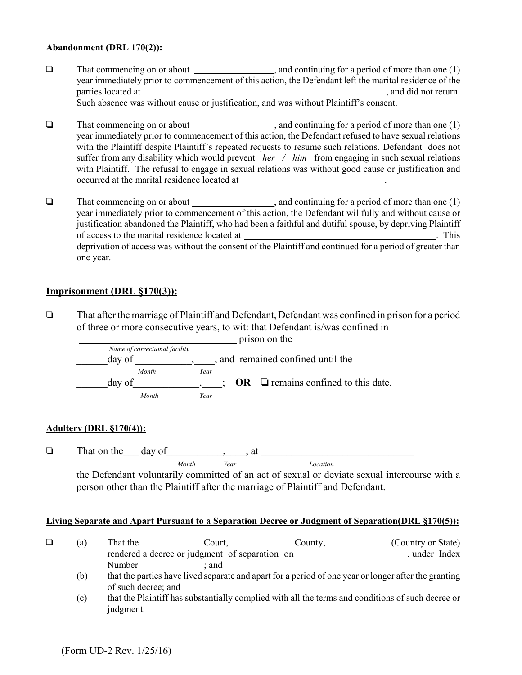#### **Abandonment (DRL 170(2)):**

- $\Box$  That commencing on or about  $\Box$ , and continuing for a period of more than one (1) year immediately prior to commencement of this action, the Defendant left the marital residence of the parties located at , and did not return. Such absence was without cause or justification, and was without Plaintiff's consent.
- $\Box$  That commencing on or about  $\Box$ , and continuing for a period of more than one (1) year immediately prior to commencement of this action, the Defendant refused to have sexual relations with the Plaintiff despite Plaintiff's repeated requests to resume such relations. Defendant does not suffer from any disability which would prevent *her / him* from engaging in such sexual relations with Plaintiff. The refusal to engage in sexual relations was without good cause or justification and occurred at the marital residence located at
- $\Box$  That commencing on or about  $\Box$ , and continuing for a period of more than one (1) year immediately prior to commencement of this action, the Defendant willfully and without cause or justification abandoned the Plaintiff, who had been a faithful and dutiful spouse, by depriving Plaintiff of access to the marital residence located at . This deprivation of access was without the consent of the Plaintiff and continued for a period of greater than one year.

## **Imprisonment (DRL §170(3)):**

 $\Box$  That after the marriage of Plaintiff and Defendant, Defendant was confined in prison for a period of three or more consecutive years, to wit: that Defendant is/was confined in



#### **Adultery (DRL §170(4)):**

 $\Box$  That on the day of determining the state of  $\Box$ *Month Year Location*

the Defendant voluntarily committed of an act of sexual or deviate sexual intercourse with a person other than the Plaintiff after the marriage of Plaintiff and Defendant.

#### **Living Separate and Apart Pursuant to a Separation Decree or Judgment of Separation(DRL §170(5)):**

|  | That the | Court.                                         | County | (Country or State) |  |
|--|----------|------------------------------------------------|--------|--------------------|--|
|  |          | rendered a decree or judgment of separation on |        | under Index        |  |
|  | Number   | and                                            |        |                    |  |

(b) that the parties have lived separate and apart for a period of one year or longer after the granting of such decree; and

(c) that the Plaintiff has substantially complied with all the terms and conditions of such decree or judgment.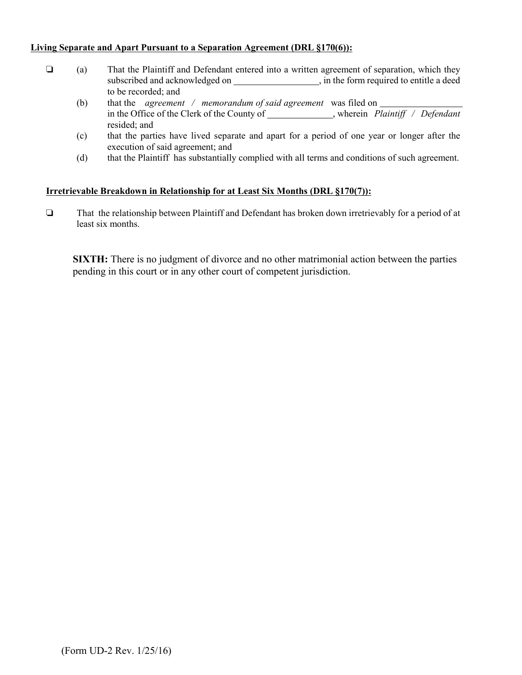#### **Living Separate and Apart Pursuant to a Separation Agreement (DRL §170(6)):**

- (a) That the Plaintiff and Defendant entered into a written agreement of separation, which they subscribed and acknowledged on , in the form required to entitle a deed to be recorded; and
	- (b) that the *agreement / memorandum of said agreement* was filed on in the Office of the Clerk of the County of , wherein *Plaintiff / Defendant* resided; and
	- (c) that the parties have lived separate and apart for a period of one year or longer after the execution of said agreement; and
	- (d) that the Plaintiffhas substantially complied with all terms and conditions of such agreement.

#### **Irretrievable Breakdown in Relationship for at Least Six Months (DRL §170(7)):**

 $\Box$  That the relationship between Plaintiff and Defendant has broken down irretrievably for a period of at least six months.

**SIXTH:** There is no judgment of divorce and no other matrimonial action between the parties pending in this court or in any other court of competent jurisdiction.